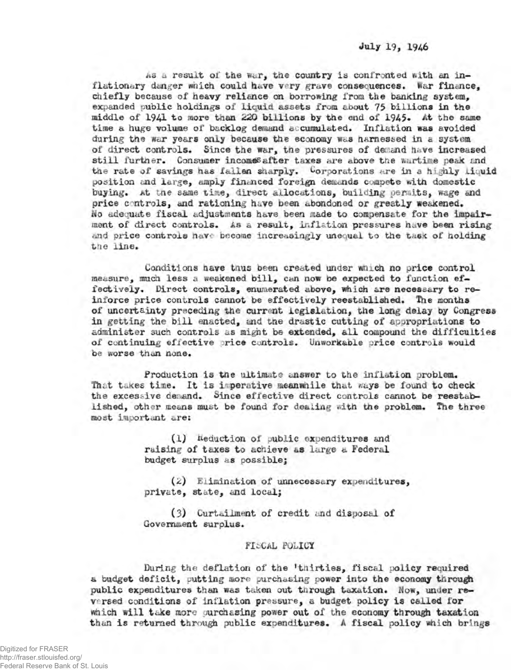As a result of the war, the country is confronted with an inflationary danger which could have very grave consequences. War finance, chiefly because of heavy reliance on borrowing from the banking system, **expanded public holdings of liquid assets from about 75 billions in the middle of 1941 to more than 220 billions by the end of 1945« At the same time a huge volume of backlog demand accumulated. Inflation was avoided during the war years only because the economy was harnessed in a system of direct controls. Since the war, the pressures of demand have increased still furtner. Consumer incomes after taxes are above the wartime peak and** the rate of savings has fallen sharply. Corporations are in a highly liquid position and large, amply financed foreign demands compete with domestic **buying. At the same time, direct allocations, building permits, wage and price c ntrols, and rationing have been abondoned or greatly weakened. Wo adequate fiscal adjustments have been made to compensate for the impairment of direct controls. As a result, inflation pressures nave been rising and price controls nave become increasingly unequal to the taax of holding tne line.**

**Conditions have tnus been created under wnich no price control measure, much less a weakened bill, can now be expected to function effectively. Direct controls, enumerated above, which are necessary to reinforce price controls cannot be effectively reestablished. The months of uncertainty preceding the current legislation, the long delay by Congress in getting the bill enacted, and tne drastic cutting of appropriations to administer such controls as might be extended, all compound the difficulties** of continuing effective price controls. Unworkable price controls would **be worse than none.**

**Production is tne ultimate answer to the inflation problem. That taxes time. It is imperative meanwhile that »ays be found to check the excessive demand. Since effective direct controls cannot be reestablished, other means must be found for dealing with the problem. The three most important are;**

> **(1) deduction of public expenditures and raising of taxes to achieve as large a Federal budget surplus as possible;**

(2) **Elimination of unnecessary expenditures, private, state, and local;**

**(3) Curtailment of credit and disposal of** Government surplus.

## **FISCAL POLICY**

**During the deflation of the ftnirties, fiscal policy required a budget deficit, putting more purchasing power into the economy through public expenditures than was taken out through taxation. Now, under reversed conditions of inflation prebsure, a budget policy is called for which will take more purchasing power out of the economy through taxation than is returned through public exoenditures.** *A* **fiscal policy which brings**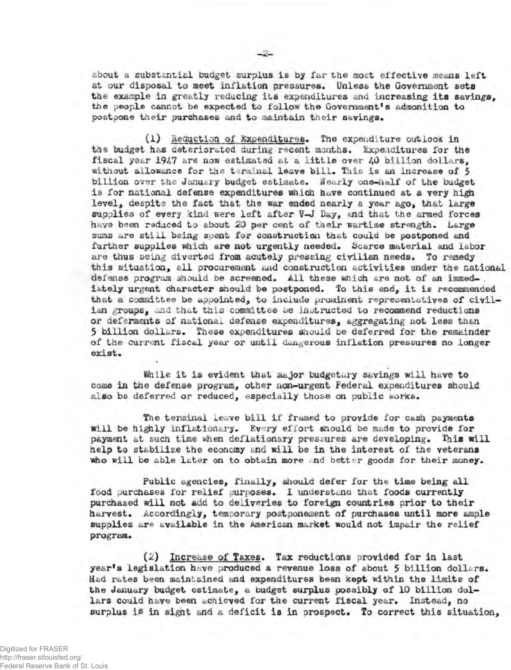**about a substantial budget surplus is by far the most effective means left** at our disposal to meet inflation pressures. Unless the Government sets **tne example in greatly reducing its expenditures and increasing its savings, the people cannot be expected to follow the Government^ admonition to postpone their purchases and to maintain tneir savings.**

**(1) lieauction of Expenditures\* The expenditure outiooK in** the budget has deteriorated during recent months. Expenditures for the **fiscal year 1947 are now estimated at a little** *over* 40 **billion dollars,** without allowance for the terminal leave bill. This is an increase of 5 billion over the January budget estimate. Nearly one-half of the budget **is for national defense expenditures which have continued at a very high** level. despite the fact that the war ended nearly a year ago, that large supplies of every kind were left after  $\nabla$ -J Day, and that the armed forces **have been reduced to about 20 per cent of their wartime strength. Large** sums are still being spent for construction that could be postponed and **further supplies which are not** *urgently* **needed. Scarce material and labor are thus Doing diverted fro® acutely pressing civilian needs. To remedy this situation, all procurement and construction activities under the national defense program should be screened. All these which are not of an iinmed- . iately urgent character should be postponed. To this end, it is recommended that a committee be appointed, to include prominent representatives of civil**ian groups, and that this committee be instructed to recommend reductions **or deferments of national defense expenditures, aggregating not less than 5 billion dollars\* These expenditures should oe deferred for the remainder of the current fiscal year or until dangerous inflation pressures no longer exist.**

**ihile it is evident that major budgetary savings will have to come in the defense program, other non-urgent Federal expenditures should** also be deferred or reduced, especially those on public works.

**The terminal leave bill if framed to provide for cash payments** will be highly inflationary. Every effort should be made to provide for payment at such time when deflationary pressures are developing. This will **help to stabilize the economy and will be in the interest of the veterans who will be able later on to obtain more . nd better goods for their money.**

**Public agencies, finally, should defer for the time being all** food purchases for relief purposes. I understand that foods currently **purchased will not add to deliveries to foreign countries prior to their** harvest. Accordingly, temporary postponement of purchases until more ample **supplies are available in the American market would not impair the relief** program.

**(2) Increase of Taxes. Tax reductions provided for in last year's legislation have produced a revenue loss of about 5 billion dollars\* Had rates been maintained and expenditures been icept within the limits of the January budget estimate, a budget surplus possibly of 10 billion dollars could have been achieved for the current fiscal year. Instead, no surplus is in sight and a deficit is in prospect. To correct this situation,**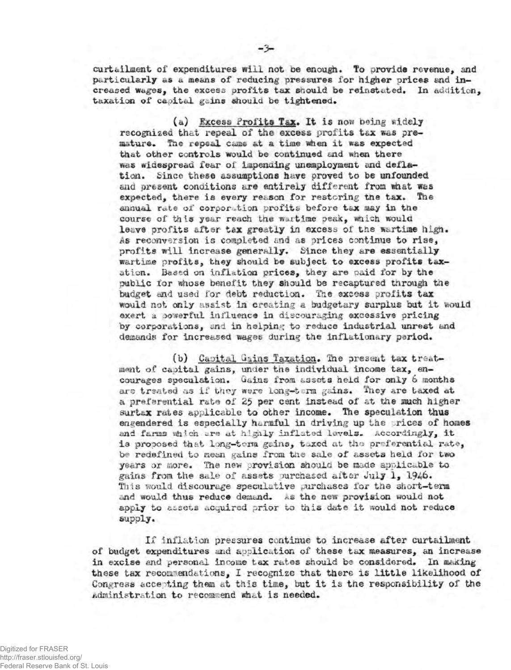**curt ailment of expenditures will not oe enough. To provide revenue, and particularly as a means of reducing pressures for higher prices and increased wages, the excess profits tax saouid be reinstated. In addition, taxation of capital gains should be tightened,**

**(a) Excess Profits Tax. It is now being widely recognized that repeal of the excess profits tax was premature, The repeal came at a time when it was expected that other controls would be continued and when there was widespread fear of impending unemployment and defla**tion. Since these assumptions have proved to be unfounded **ana present conditions are entirely different from what was expected, there is every reason for restoring the tax. The annual rote of corporation profits before tax may in tne course of this year reach the wartime peak, waich would leave profits after tax greatly in excess of tne wartime high.** *As reconversion* **is completed and as prices continue to rise, profits will increase generally. Since they are essentially wartime profits, they should be subject to excess profits taxation. Based** *on* **inflation prices, they are paid for by the public for whose benefit they should be recaptured through the budget and used for debt reduction. The excess profits tax would not only assist in creating a budgetary surplus but it would exert a powerful influence in discouraging excessive pricing by corporations, and in helping to reduce industrial unrest and demands for increased wages during the inflationary period,**

(b) Capital Gains Taxation. The present tax treat**ment of capital gains, under tne individual income tax, encourages speculation, Gains from assets held for only 6 months are treated as if they were long-term gains. They are taxed at a preferential rate of 25 per cent instead of at the much higher surtax rates applicable to other income. The speculation thus engendered is especially harmful in driving up the rices of homes** and farms which are at highly inflated levels. Accordingly, it **is proposed that long-term gains, t-\*xed at the preferential rate, be redefined to mean gains from the sale of assets held for two years or more. The new provision should be made applicable to gains from the sale of assets purchased after July 1, 1946. This would discourage speculative purchases for the short-term and would thus reduce demand. As the new provision would not apply to assets acquired prior to this date it would not reduce supply.**

**If inflation pressures continue to increase after curtailment of budget expenditures and application of these tax measures, an increase in excise and personal income tax rates should be considered. In asking these tax recommendations, I recognise that there is little likelihood of Congress accepting them at this time, but it is tne responsibility of the Administration to recommend shat is needed.**